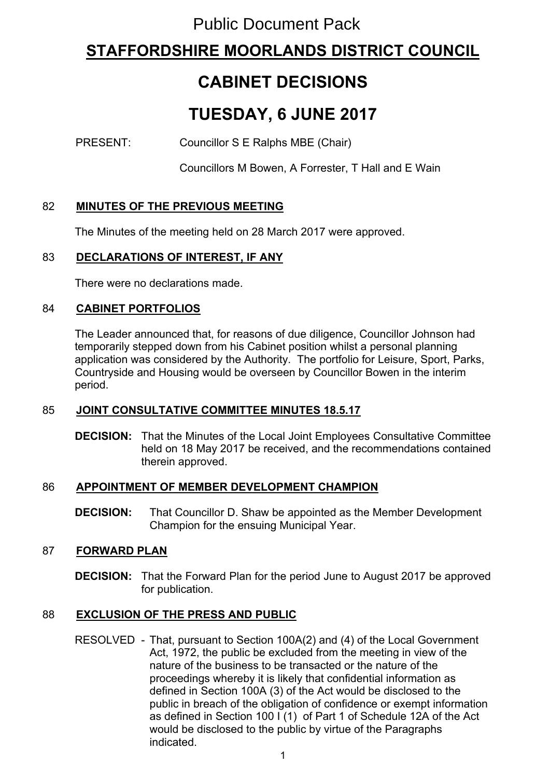## Public Document Pack

## **STAFFORDSHIRE MOORLANDS DISTRICT COUNCIL**

# **CABINET DECISIONS**

# **TUESDAY, 6 JUNE 2017**

PRESENT: Councillor S E Ralphs MBE (Chair)

Councillors M Bowen, A Forrester, T Hall and E Wain

## 82 **MINUTES OF THE PREVIOUS MEETING**

The Minutes of the meeting held on 28 March 2017 were approved.

## 83 **DECLARATIONS OF INTEREST, IF ANY**

There were no declarations made.

#### 84 **CABINET PORTFOLIOS**

The Leader announced that, for reasons of due diligence, Councillor Johnson had temporarily stepped down from his Cabinet position whilst a personal planning application was considered by the Authority. The portfolio for Leisure, Sport, Parks, Countryside and Housing would be overseen by Councillor Bowen in the interim period.

## 85 **JOINT CONSULTATIVE COMMITTEE MINUTES 18.5.17**

**DECISION:** That the Minutes of the Local Joint Employees Consultative Committee held on 18 May 2017 be received, and the recommendations contained therein approved.

#### 86 **APPOINTMENT OF MEMBER DEVELOPMENT CHAMPION**

**DECISION:** That Councillor D. Shaw be appointed as the Member Development Champion for the ensuing Municipal Year.

## 87 **FORWARD PLAN**

**DECISION:** That the Forward Plan for the period June to August 2017 be approved for publication.

## 88 **EXCLUSION OF THE PRESS AND PUBLIC**

RESOLVED - That, pursuant to Section 100A(2) and (4) of the Local Government Act, 1972, the public be excluded from the meeting in view of the nature of the business to be transacted or the nature of the proceedings whereby it is likely that confidential information as defined in Section 100A (3) of the Act would be disclosed to the public in breach of the obligation of confidence or exempt information as defined in Section 100 I (1) of Part 1 of Schedule 12A of the Act would be disclosed to the public by virtue of the Paragraphs indicated.